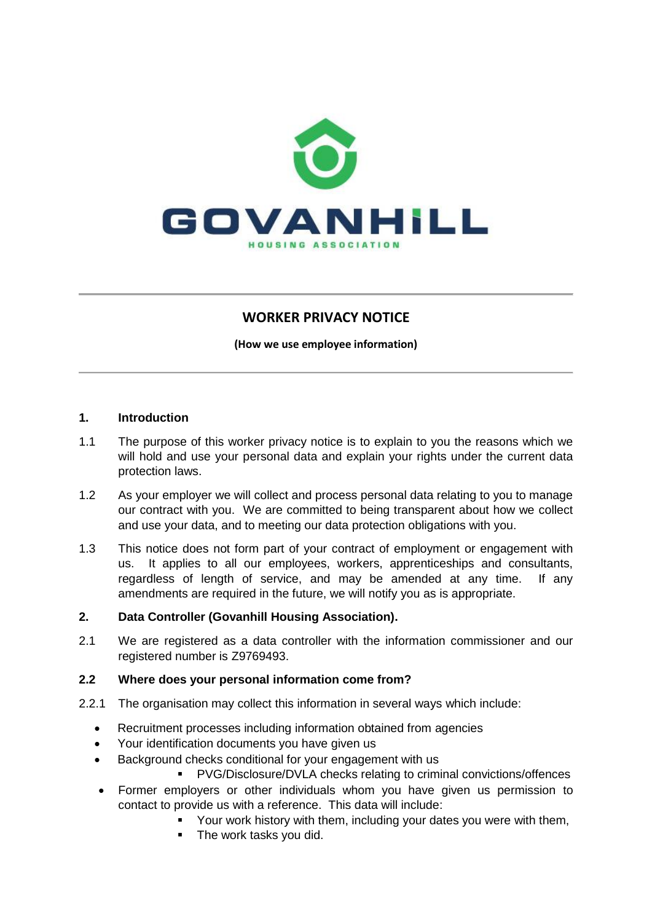

## **WORKER PRIVACY NOTICE**

**(How we use employee information)**

## **1. Introduction**

- 1.1 The purpose of this worker privacy notice is to explain to you the reasons which we will hold and use your personal data and explain your rights under the current data protection laws.
- 1.2 As your employer we will collect and process personal data relating to you to manage our contract with you. We are committed to being transparent about how we collect and use your data, and to meeting our data protection obligations with you.
- 1.3 This notice does not form part of your contract of employment or engagement with us. It applies to all our employees, workers, apprenticeships and consultants, regardless of length of service, and may be amended at any time. If any amendments are required in the future, we will notify you as is appropriate.

## **2. Data Controller (Govanhill Housing Association).**

2.1 We are registered as a data controller with the information commissioner and our registered number is Z9769493.

## **2.2 Where does your personal information come from?**

- 2.2.1 The organisation may collect this information in several ways which include:
	- Recruitment processes including information obtained from agencies
	- Your identification documents you have given us
	- Background checks conditional for your engagement with us
		- PVG/Disclosure/DVLA checks relating to criminal convictions/offences
	- Former employers or other individuals whom you have given us permission to contact to provide us with a reference. This data will include:
		- **•** Your work history with them, including your dates you were with them,
		- **The work tasks you did.**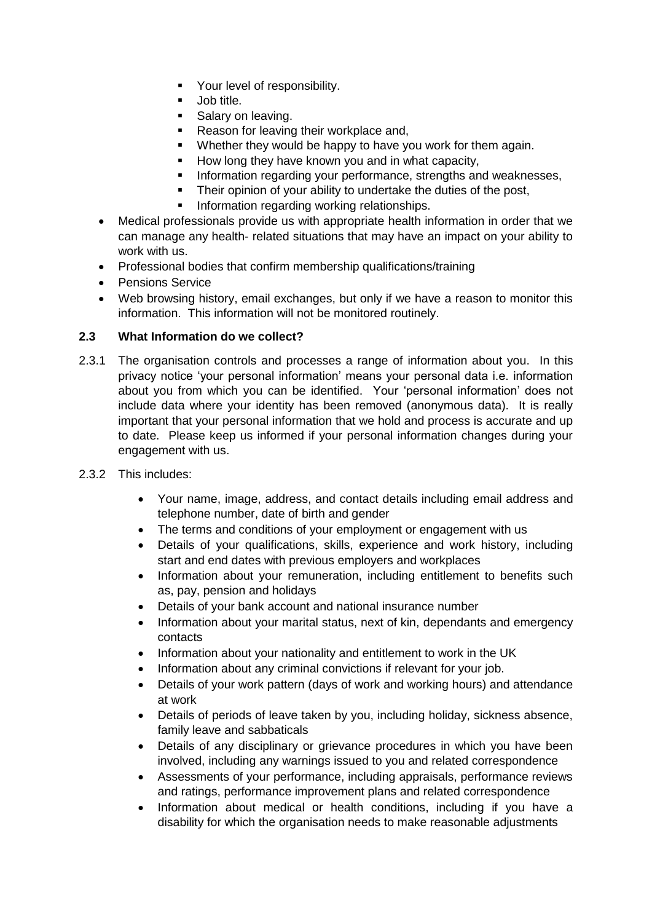- Your level of responsibility.
- **Job title.**
- Salary on leaving.
- Reason for leaving their workplace and,
- **Whether they would be happy to have you work for them again.**
- How long they have known you and in what capacity,
- Information regarding your performance, strengths and weaknesses,
- **Their opinion of your ability to undertake the duties of the post,**
- **Information regarding working relationships.**
- Medical professionals provide us with appropriate health information in order that we can manage any health- related situations that may have an impact on your ability to work with us.
- Professional bodies that confirm membership qualifications/training
- Pensions Service
- Web browsing history, email exchanges, but only if we have a reason to monitor this information. This information will not be monitored routinely.

## **2.3 What Information do we collect?**

- 2.3.1 The organisation controls and processes a range of information about you. In this privacy notice 'your personal information' means your personal data i.e. information about you from which you can be identified. Your 'personal information' does not include data where your identity has been removed (anonymous data). It is really important that your personal information that we hold and process is accurate and up to date. Please keep us informed if your personal information changes during your engagement with us.
- 2.3.2 This includes:
	- Your name, image, address, and contact details including email address and telephone number, date of birth and gender
	- The terms and conditions of your employment or engagement with us
	- Details of your qualifications, skills, experience and work history, including start and end dates with previous employers and workplaces
	- Information about your remuneration, including entitlement to benefits such as, pay, pension and holidays
	- Details of your bank account and national insurance number
	- Information about your marital status, next of kin, dependants and emergency contacts
	- Information about your nationality and entitlement to work in the UK
	- Information about any criminal convictions if relevant for your job.
	- Details of your work pattern (days of work and working hours) and attendance at work
	- Details of periods of leave taken by you, including holiday, sickness absence, family leave and sabbaticals
	- Details of any disciplinary or grievance procedures in which you have been involved, including any warnings issued to you and related correspondence
	- Assessments of your performance, including appraisals, performance reviews and ratings, performance improvement plans and related correspondence
	- Information about medical or health conditions, including if you have a disability for which the organisation needs to make reasonable adjustments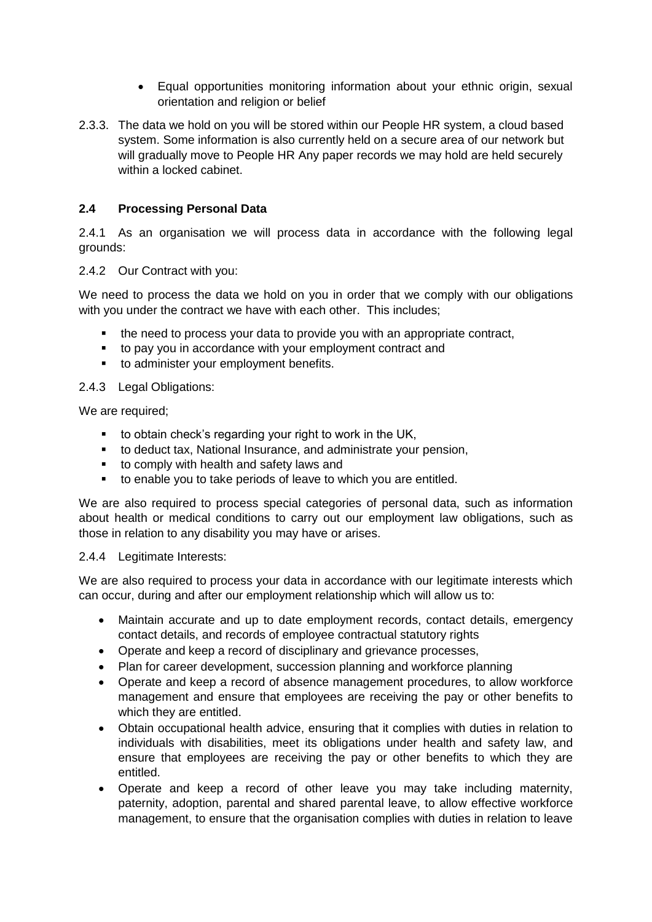- Equal opportunities monitoring information about your ethnic origin, sexual orientation and religion or belief
- 2.3.3. The data we hold on you will be stored within our People HR system, a cloud based system. Some information is also currently held on a secure area of our network but will gradually move to People HR Any paper records we may hold are held securely within a locked cabinet.

## **2.4 Processing Personal Data**

2.4.1 As an organisation we will process data in accordance with the following legal grounds:

## 2.4.2 Our Contract with you:

We need to process the data we hold on you in order that we comply with our obligations with you under the contract we have with each other. This includes;

- the need to process your data to provide you with an appropriate contract,
- to pay you in accordance with your employment contract and
- **to administer your employment benefits.**

## 2.4.3 Legal Obligations:

We are required;

- to obtain check's regarding your right to work in the UK,
- to deduct tax, National Insurance, and administrate your pension,
- to comply with health and safety laws and
- to enable you to take periods of leave to which you are entitled.

We are also required to process special categories of personal data, such as information about health or medical conditions to carry out our employment law obligations, such as those in relation to any disability you may have or arises.

## 2.4.4 Legitimate Interests:

We are also required to process your data in accordance with our legitimate interests which can occur, during and after our employment relationship which will allow us to:

- Maintain accurate and up to date employment records, contact details, emergency contact details, and records of employee contractual statutory rights
- Operate and keep a record of disciplinary and grievance processes,
- Plan for career development, succession planning and workforce planning
- Operate and keep a record of absence management procedures, to allow workforce management and ensure that employees are receiving the pay or other benefits to which they are entitled.
- Obtain occupational health advice, ensuring that it complies with duties in relation to individuals with disabilities, meet its obligations under health and safety law, and ensure that employees are receiving the pay or other benefits to which they are entitled.
- Operate and keep a record of other leave you may take including maternity, paternity, adoption, parental and shared parental leave, to allow effective workforce management, to ensure that the organisation complies with duties in relation to leave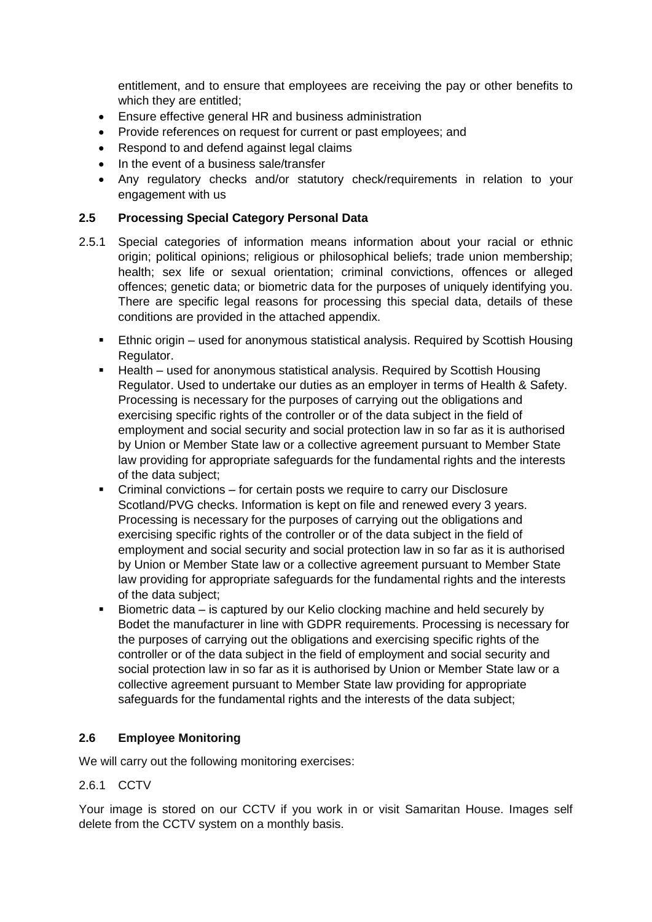entitlement, and to ensure that employees are receiving the pay or other benefits to which they are entitled;

- Ensure effective general HR and business administration
- Provide references on request for current or past employees; and
- Respond to and defend against legal claims
- In the event of a business sale/transfer
- Any regulatory checks and/or statutory check/requirements in relation to your engagement with us

## **2.5 Processing Special Category Personal Data**

- 2.5.1 Special categories of information means information about your racial or ethnic origin; political opinions; religious or philosophical beliefs; trade union membership; health; sex life or sexual orientation; criminal convictions, offences or alleged offences; genetic data; or biometric data for the purposes of uniquely identifying you. There are specific legal reasons for processing this special data, details of these conditions are provided in the attached appendix.
	- Ethnic origin used for anonymous statistical analysis. Required by Scottish Housing Regulator.
	- Health used for anonymous statistical analysis. Required by Scottish Housing Regulator. Used to undertake our duties as an employer in terms of Health & Safety. Processing is necessary for the purposes of carrying out the obligations and exercising specific rights of the controller or of the data subject in the field of employment and social security and social protection law in so far as it is authorised by Union or Member State law or a collective agreement pursuant to Member State law providing for appropriate safeguards for the fundamental rights and the interests of the data subject;
	- Criminal convictions for certain posts we require to carry our Disclosure Scotland/PVG checks. Information is kept on file and renewed every 3 years. Processing is necessary for the purposes of carrying out the obligations and exercising specific rights of the controller or of the data subject in the field of employment and social security and social protection law in so far as it is authorised by Union or Member State law or a collective agreement pursuant to Member State law providing for appropriate safeguards for the fundamental rights and the interests of the data subject;
	- Biometric data is captured by our Kelio clocking machine and held securely by Bodet the manufacturer in line with GDPR requirements. Processing is necessary for the purposes of carrying out the obligations and exercising specific rights of the controller or of the data subject in the field of employment and social security and social protection law in so far as it is authorised by Union or Member State law or a collective agreement pursuant to Member State law providing for appropriate safeguards for the fundamental rights and the interests of the data subject;

## **2.6 Employee Monitoring**

We will carry out the following monitoring exercises:

## 2.6.1 CCTV

Your image is stored on our CCTV if you work in or visit Samaritan House. Images self delete from the CCTV system on a monthly basis.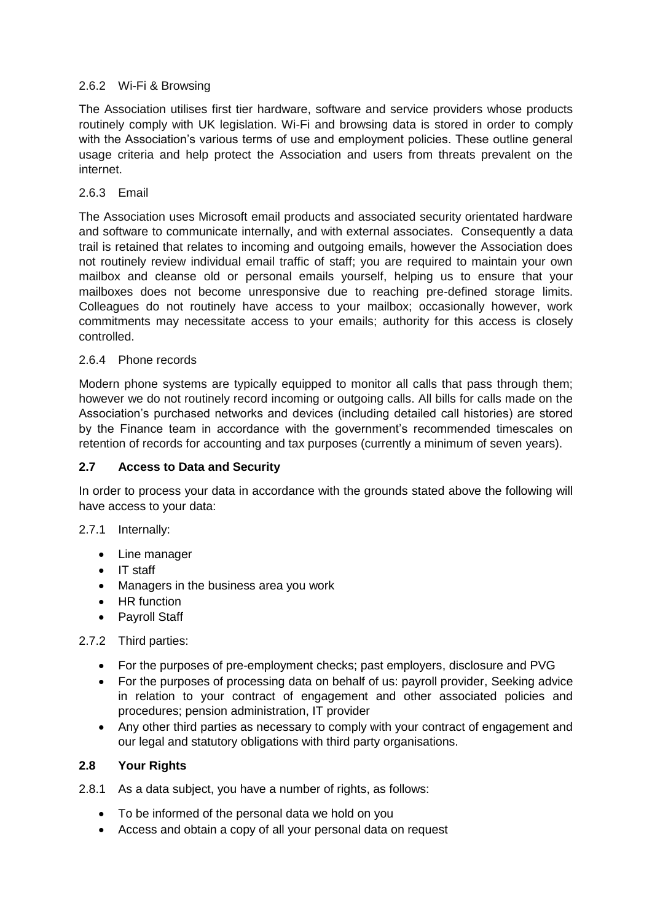## 2.6.2 Wi-Fi & Browsing

The Association utilises first tier hardware, software and service providers whose products routinely comply with UK legislation. Wi-Fi and browsing data is stored in order to comply with the Association's various terms of use and employment policies. These outline general usage criteria and help protect the Association and users from threats prevalent on the internet.

## 2.6.3 Email

The Association uses Microsoft email products and associated security orientated hardware and software to communicate internally, and with external associates. Consequently a data trail is retained that relates to incoming and outgoing emails, however the Association does not routinely review individual email traffic of staff; you are required to maintain your own mailbox and cleanse old or personal emails yourself, helping us to ensure that your mailboxes does not become unresponsive due to reaching pre-defined storage limits. Colleagues do not routinely have access to your mailbox; occasionally however, work commitments may necessitate access to your emails; authority for this access is closely controlled.

## 2.6.4 Phone records

Modern phone systems are typically equipped to monitor all calls that pass through them; however we do not routinely record incoming or outgoing calls. All bills for calls made on the Association's purchased networks and devices (including detailed call histories) are stored by the Finance team in accordance with the government's recommended timescales on retention of records for accounting and tax purposes (currently a minimum of seven years).

## **2.7 Access to Data and Security**

In order to process your data in accordance with the grounds stated above the following will have access to your data:

## 2.7.1 Internally:

- Line manager
- IT staff
- Managers in the business area you work
- HR function
- Payroll Staff

2.7.2 Third parties:

- For the purposes of pre-employment checks; past employers, disclosure and PVG
- For the purposes of processing data on behalf of us: payroll provider, Seeking advice in relation to your contract of engagement and other associated policies and procedures; pension administration, IT provider
- Any other third parties as necessary to comply with your contract of engagement and our legal and statutory obligations with third party organisations.

## **2.8 Your Rights**

2.8.1 As a data subiect, you have a number of rights, as follows:

- To be informed of the personal data we hold on you
- Access and obtain a copy of all your personal data on request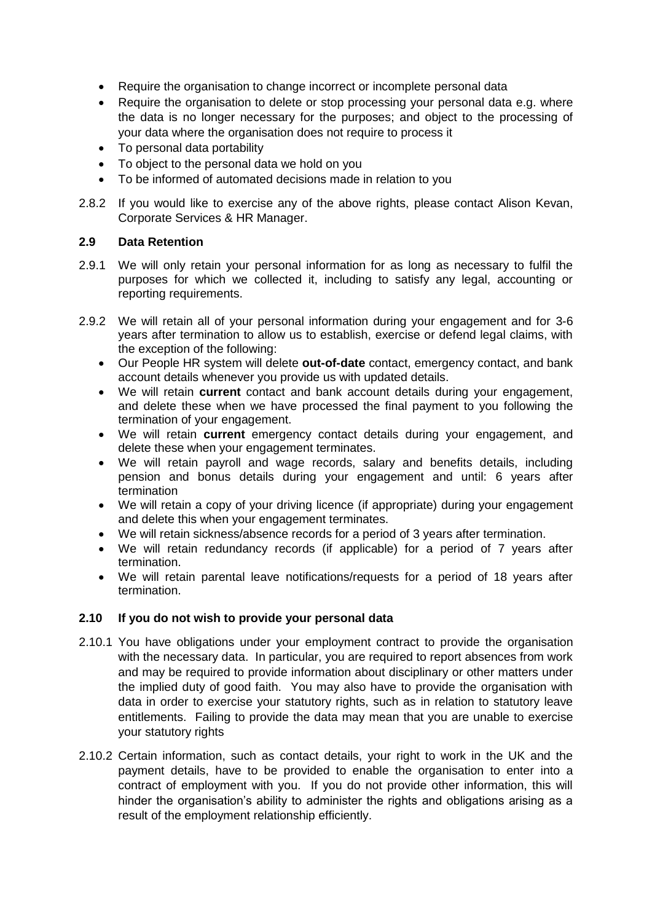- Require the organisation to change incorrect or incomplete personal data
- Require the organisation to delete or stop processing your personal data e.g. where the data is no longer necessary for the purposes; and object to the processing of your data where the organisation does not require to process it
- To personal data portability
- To object to the personal data we hold on you
- To be informed of automated decisions made in relation to you
- 2.8.2 If you would like to exercise any of the above rights, please contact Alison Kevan, Corporate Services & HR Manager.

## **2.9 Data Retention**

- 2.9.1 We will only retain your personal information for as long as necessary to fulfil the purposes for which we collected it, including to satisfy any legal, accounting or reporting requirements.
- 2.9.2 We will retain all of your personal information during your engagement and for 3-6 years after termination to allow us to establish, exercise or defend legal claims, with the exception of the following:
	- Our People HR system will delete **out-of-date** contact, emergency contact, and bank account details whenever you provide us with updated details.
	- We will retain **current** contact and bank account details during your engagement, and delete these when we have processed the final payment to you following the termination of your engagement.
	- We will retain **current** emergency contact details during your engagement, and delete these when your engagement terminates.
	- We will retain payroll and wage records, salary and benefits details, including pension and bonus details during your engagement and until: 6 years after termination
	- We will retain a copy of your driving licence (if appropriate) during your engagement and delete this when your engagement terminates.
	- We will retain sickness/absence records for a period of 3 years after termination.
	- We will retain redundancy records (if applicable) for a period of 7 years after termination.
	- We will retain parental leave notifications/requests for a period of 18 years after termination.

## **2.10 If you do not wish to provide your personal data**

- 2.10.1 You have obligations under your employment contract to provide the organisation with the necessary data. In particular, you are required to report absences from work and may be required to provide information about disciplinary or other matters under the implied duty of good faith. You may also have to provide the organisation with data in order to exercise your statutory rights, such as in relation to statutory leave entitlements. Failing to provide the data may mean that you are unable to exercise your statutory rights
- 2.10.2 Certain information, such as contact details, your right to work in the UK and the payment details, have to be provided to enable the organisation to enter into a contract of employment with you. If you do not provide other information, this will hinder the organisation's ability to administer the rights and obligations arising as a result of the employment relationship efficiently.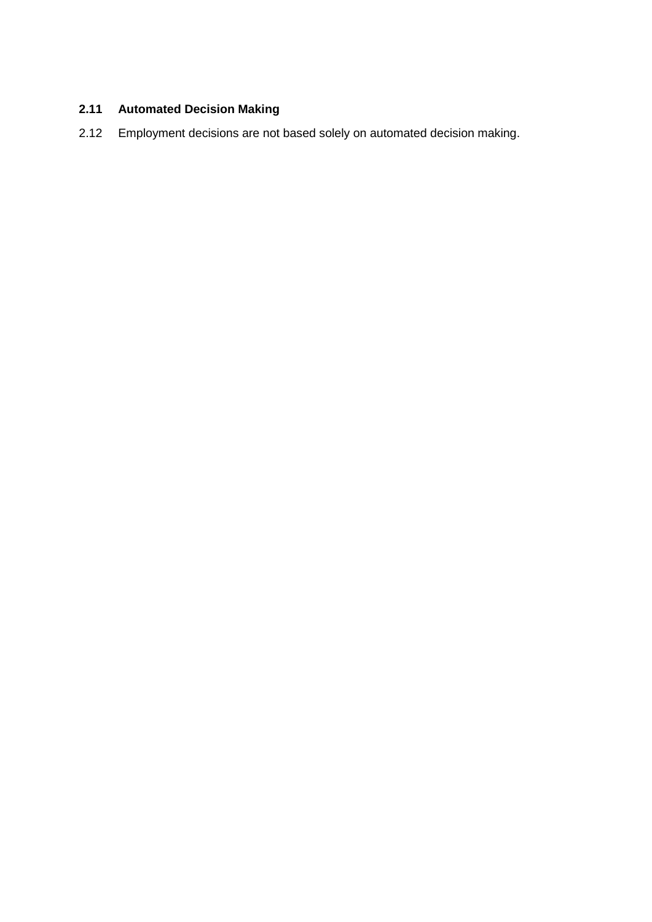# **2.11 Automated Decision Making**

2.12 Employment decisions are not based solely on automated decision making.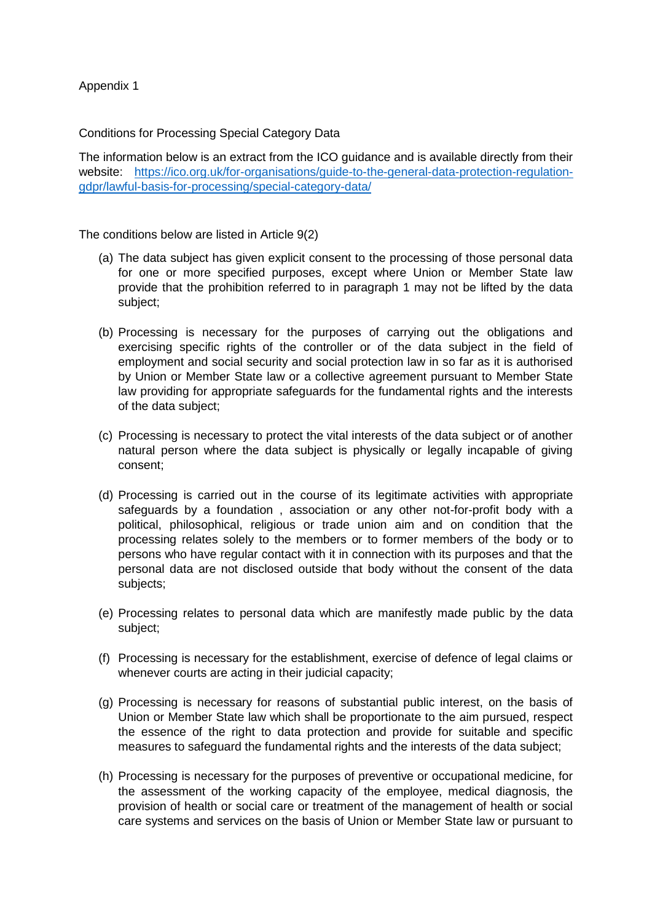Appendix 1

Conditions for Processing Special Category Data

The information below is an extract from the ICO guidance and is available directly from their website: [https://ico.org.uk/for-organisations/guide-to-the-general-data-protection-regulation](https://ico.org.uk/for-organisations/guide-to-the-general-data-protection-regulation-gdpr/lawful-basis-for-processing/special-category-data/)[gdpr/lawful-basis-for-processing/special-category-data/](https://ico.org.uk/for-organisations/guide-to-the-general-data-protection-regulation-gdpr/lawful-basis-for-processing/special-category-data/)

The conditions below are listed in Article 9(2)

- (a) The data subject has given explicit consent to the processing of those personal data for one or more specified purposes, except where Union or Member State law provide that the prohibition referred to in paragraph 1 may not be lifted by the data subject;
- (b) Processing is necessary for the purposes of carrying out the obligations and exercising specific rights of the controller or of the data subject in the field of employment and social security and social protection law in so far as it is authorised by Union or Member State law or a collective agreement pursuant to Member State law providing for appropriate safeguards for the fundamental rights and the interests of the data subject;
- (c) Processing is necessary to protect the vital interests of the data subject or of another natural person where the data subject is physically or legally incapable of giving consent;
- (d) Processing is carried out in the course of its legitimate activities with appropriate safeguards by a foundation , association or any other not-for-profit body with a political, philosophical, religious or trade union aim and on condition that the processing relates solely to the members or to former members of the body or to persons who have regular contact with it in connection with its purposes and that the personal data are not disclosed outside that body without the consent of the data subjects;
- (e) Processing relates to personal data which are manifestly made public by the data subject;
- (f) Processing is necessary for the establishment, exercise of defence of legal claims or whenever courts are acting in their judicial capacity:
- (g) Processing is necessary for reasons of substantial public interest, on the basis of Union or Member State law which shall be proportionate to the aim pursued, respect the essence of the right to data protection and provide for suitable and specific measures to safeguard the fundamental rights and the interests of the data subject;
- (h) Processing is necessary for the purposes of preventive or occupational medicine, for the assessment of the working capacity of the employee, medical diagnosis, the provision of health or social care or treatment of the management of health or social care systems and services on the basis of Union or Member State law or pursuant to